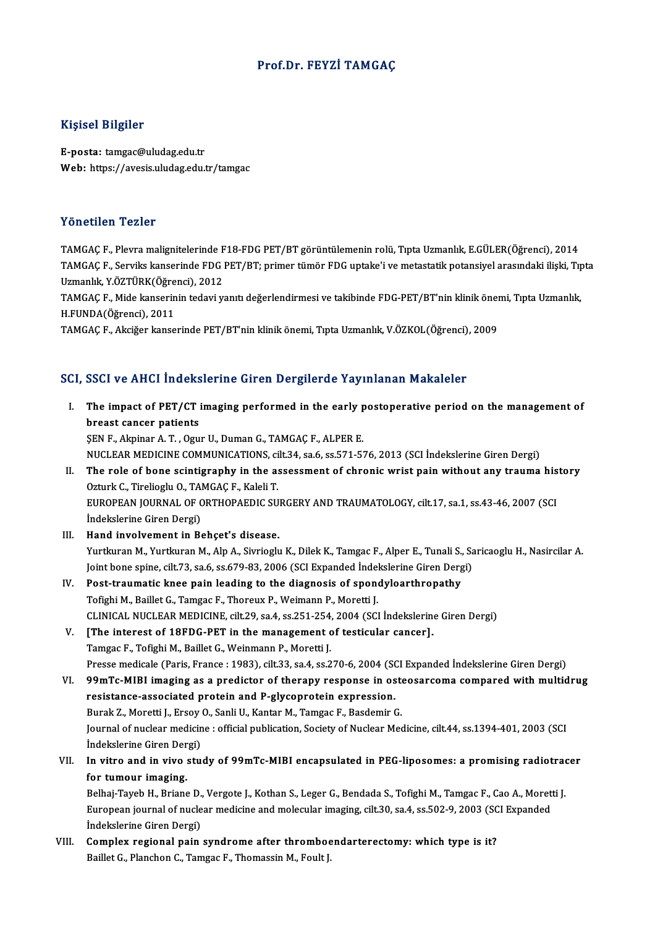### Prof.Dr. FEYZİ TAMGAÇ

### Kişisel Bilgiler

E-posta: tamgac@uludag.edu.tr Web: https://avesis.uludag.edu.tr/tamgac

### Yönetilen Tezler

TAMGAÇ F., Plevra malignitelerinde F18-FDG PET/BT görüntülemenin rolü, Tıpta Uzmanlık, E.GÜLER(Öğrenci), 2014 TAMGAÇ F., Serviks kanserinde FDG PET/BT; primer tümör FDG uptake'i ve metastatik potansiyel arasındaki ilişki, Tıpta TAMGAÇ F., Plevra malignitelerinde F<br>TAMGAÇ F., Serviks kanserinde FDG<br>Uzmanlık, Y.ÖZTÜRK(Öğrenci), 2012<br>TAMGAC E. Mide kanserinin tedayi yı TAMGAÇ F., Serviks kanserinde FDG PET/BT; primer tümör FDG uptake'i ve metastatik potansiyel arasındaki ilişki, Tıp<br>Uzmanlık, Y.ÖZTÜRK(Öğrenci), 2012<br>TAMGAÇ F., Mide kanserinin tedavi yanıtı değerlendirmesi ve takibinde FD

Uzmanlık, Y.ÖZTÜRK(Öğre<br>TAMGAÇ F., Mide kanserin<br>H.FUNDA(Öğrenci), 2011<br>TAMGAÇ E., Aksiğer kanse TAMGAÇ F., Mide kanserinin tedavi yanıtı değerlendirmesi ve takibinde FDG-PET/BT'nin klinik öneı<br>H.FUNDA(Öğrenci), 2011<br>TAMGAÇ F., Akciğer kanserinde PET/BT'nin klinik önemi, Tıpta Uzmanlık, V.ÖZKOL(Öğrenci), 2009

# TAMGAÇ F., Akciğer kanserinde PET/BT'nin klinik önemi, Tıpta Uzmanlık, V.ÖZKOL(Öğrenci), 2009<br>SCI, SSCI ve AHCI İndekslerine Giren Dergilerde Yayınlanan Makaleler

CI, SSCI ve AHCI Indekslerine Giren Dergilerde Yayınlanan Makaleler<br>I. The impact of PET/CT imaging performed in the early postoperative period on the management of<br>hyeest cancer patients  $\sum_{i=1}^{n}$ <br>The impact of PET/CT is<br>breast cancer patients The impact of PET/CT imaging performed in the early p<br>breast cancer patients<br>SEN F., Akpinar A.T., Ogur U., Duman G., TAMGAÇ F., ALPER E.<br>NUCLEAR MEDICINE COMMUNICATIONS, silt 24, so 6, so 5.71, 5.

breast cancer patients<br>ŞEN F., Akpinar A. T. , Ogur U., Duman G., TAMGAÇ F., ALPER E.<br>NUCLEAR MEDICINE COMMUNICATIONS, cilt.34, sa.6, ss.571-576, 2013 (SCI İndekslerine Giren Dergi)

- SEN F., Akpinar A. T. , Ogur U., Duman G., TAMGAÇ F., ALPER E.<br>NUCLEAR MEDICINE COMMUNICATIONS, cilt.34, sa.6, ss.571-576, 2013 (SCI Indekslerine Giren Dergi)<br>II. The role of bone scintigraphy in the assessment of chronic NUCLEAR MEDICINE COMMUNICATIONS, ci<br>The role of bone scintigraphy in the as<br>Ozturk C., Tirelioglu O., TAMGAÇ F., Kaleli T.<br>FUROPEAN JOURNAL OF OPTHOPAEDIC SU The role of bone scintigraphy in the assessment of chronic wrist pain without any trauma his<br>Ozturk C., Tirelioglu O., TAMGAÇ F., Kaleli T.<br>EUROPEAN JOURNAL OF ORTHOPAEDIC SURGERY AND TRAUMATOLOGY, cilt.17, sa.1, ss.43-46, Ozturk C., Tirelioglu O., TAMGAÇ F., Kaleli T.<br>EUROPEAN JOURNAL OF ORTHOPAEDIC SURGERY AND TRAUMATOLOGY, cilt.17, sa.1, ss.43-46, 2007 (SCI<br>İndekslerine Giren Dergi)
- III. Hand involvement in Behçet's disease. İndekslerine Giren Dergi)<br>**Hand involvement in Behçet's disease.**<br>Yurtkuran M., Yurtkuran M., Alp A., Sivrioglu K., Dilek K., Tamgac F., Alper E., Tunali S., Saricaoglu H., Nasircilar A.<br>Joint bone spine, si<sup>lt 72</sup>, 82 6, Hand involvement in Behçet's disease.<br>Yurtkuran M., Yurtkuran M., Alp A., Sivrioglu K., Dilek K., Tamgac F., Alper E., Tunali S., Sa.<br>Joint bone spine, cilt.73, sa.6, ss.679-83, 2006 (SCI Expanded İndekslerine Giren Dergi) Yurtkuran M., Yurtkuran M., Alp A., Sivrioglu K., Dilek K., Tamgac F., Alper E., Tunali S.,<br>Joint bone spine, cilt.73, sa.6, ss.679-83, 2006 (SCI Expanded Indekslerine Giren Derg<br>IV. Post-traumatic knee pain leading to the
- Joint bone spine, cilt.73, sa.6, ss.679-83, 2006 (SCI Expanded Indel<br>Post-traumatic knee pain leading to the diagnosis of spone<br>Tofighi M., Baillet G., Tamgac F., Thoreux P., Weimann P., Moretti J.<br>CLINICAL NUCLEAR MEDICIN Tofighi M., Baillet G., Tamgac F., Thoreux P., Weimann P., Moretti J.<br>CLINICAL NUCLEAR MEDICINE, cilt.29, sa.4, ss.251-254, 2004 (SCI İndekslerine Giren Dergi) Tofighi M., Baillet G., Tamgac F., Thoreux P., Weimann P., Moretti J.<br>CLINICAL NUCLEAR MEDICINE, cilt.29, sa.4, ss.251-254, 2004 (SCI Indekslerine<br>V. [The interest of 18FDG-PET in the management of testicular cancer].<br>Tamg
- CLINICAL NUCLEAR MEDICINE, cilt.29, sa.4, ss.251-254<br>[The interest of 18FDG-PET in the management of<br>Tamgac F., Tofighi M., Baillet G., Weinmann P., Moretti J. Tamgac F., Tofighi M., Baillet G., Weinmann P., Moretti J.<br>Presse medicale (Paris, France : 1983), cilt.33, sa.4, ss.270-6, 2004 (SCI Expanded İndekslerine Giren Dergi) Tamgac F., Tofighi M., Baillet G., Weinmann P., Moretti J.<br>Presse medicale (Paris, France : 1983), cilt.33, sa.4, ss.270-6, 2004 (SCI Expanded Indekslerine Giren Dergi)<br>VI. 99mTc-MIBI imaging as a predictor of therapy resp
- Presse medicale (Paris, France : 1983), cilt.33, sa.4, ss.270-6, 2004 (SC<br>99mTc-MIBI imaging as a predictor of therapy response in os<br>resistance-associated protein and P-glycoprotein expression.<br>Pural: 7. Moratti L. Frasy 99mTc-MIBI imaging as a predictor of therapy response in ost<br>resistance-associated protein and P-glycoprotein expression.<br>Burak Z., Moretti J., Ersoy O., Sanli U., Kantar M., Tamgac F., Basdemir G.<br>Journal of nuclear modis resistance-associated protein and P-glycoprotein expression.<br>Burak Z., Moretti J., Ersoy O., Sanli U., Kantar M., Tamgac F., Basdemir G.<br>Journal of nuclear medicine : official publication, Society of Nuclear Medicine, cilt Burak Z., Moretti J., Ersoy O., Sanli U., Kantar M., Tamgac F., Basdemir G. Journal of nuclear medicine : official publication, Society of Nuclear Medicine, cilt.44, ss.1394-401, 2003 (SCI<br>Indekslerine Giren Dergi)<br>VII. In vitro and in vivo study of 99mTc-MIBI encapsulated in PEG-liposomes: a prom
- Indekslerine Giren Der<br>In vitro and in vivo:<br>for tumour imaging.<br>Pelhai Tayoh H. Priang In vitro and in vivo study of 99mTc-MIBI encapsulated in PEG-liposomes: a promising radiotrad<br>for tumour imaging.<br>Belhaj-Tayeb H., Briane D., Vergote J., Kothan S., Leger G., Bendada S., Tofighi M., Tamgac F., Cao A., More

for tumour imaging.<br>Belhaj-Tayeb H., Briane D., Vergote J., Kothan S., Leger G., Bendada S., Tofighi M., Tamgac F., Cao A., Morett<br>European journal of nuclear medicine and molecular imaging, cilt.30, sa.4, ss.502-9, 2003 ( Belhaj-Tayeb H., Briane D.,<br>European journal of nucle<br>İndekslerine Giren Dergi)<br>Complex regional poin European journal of nuclear medicine and molecular imaging, cilt.30, sa.4, ss.502-9, 2003 (SC<br>Indekslerine Giren Dergi)<br>VIII. Complex regional pain syndrome after thromboendarterectomy: which type is it?<br>Paillet C. Plancha

İndekslerine Giren Dergi)<br><mark>Complex regional pain syndrome after thrombo</mark>e<br>Baillet G., Planchon C., Tamgac F., Thomassin M., Foult J.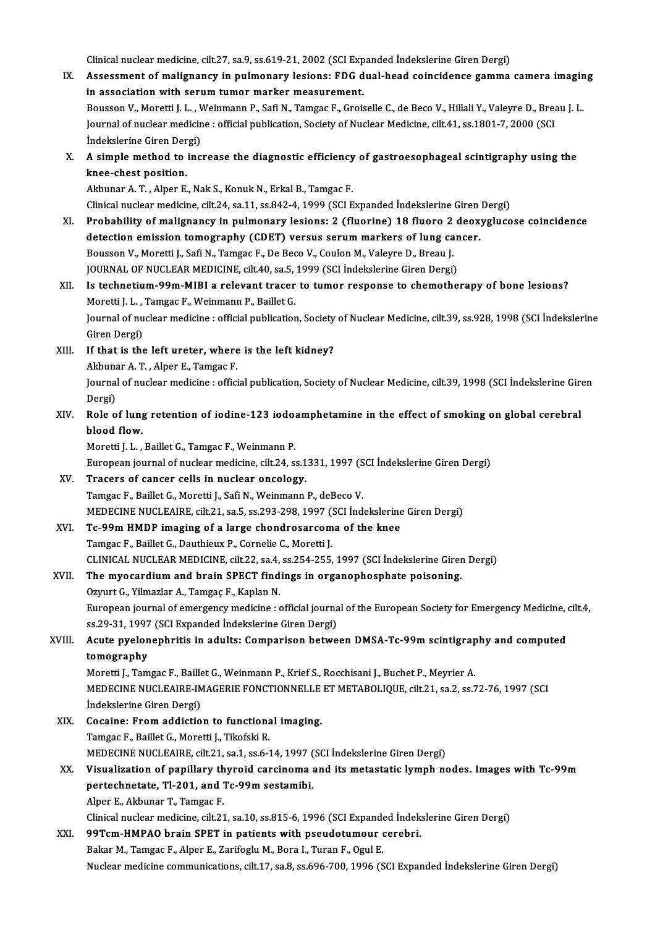Clinical nuclear medicine, cilt.27, sa.9, ss.619-21, 2002 (SCI Expanded İndekslerine Giren Dergi)<br>Assessment of malignangu in nulmanany losiona: EDC dual head seingidanes semma IX. Assessment of malignancy in pulmonary lesions: FDG dual-head coincidence gamma camera imaging<br>in association with serum tumor marker measurement. Clinical nuclear medicine, cilt.27, sa.9, ss.619-21, 2002 (SCI Exp<br>Assessment of malignancy in pulmonary lesions: FDG d<br>in association with serum tumor marker measurement.<br>Boussen V. Moretti L.L. Weinmann B. Sefi N. Tomges Assessment of malignancy in pulmonary lesions: FDG dual-head coincidence gamma camera imagin<br>in association with serum tumor marker measurement.<br>Bousson V., Moretti J. L. , Weinmann P., Safi N., Tamgac F., Groiselle C., de in association with serum tumor marker measurement.<br>Bousson V., Moretti J. L. , Weinmann P., Safi N., Tamgac F., Groiselle C., de Beco V., Hillali Y., Valeyre D., Brea<br>Journal of nuclear medicine : official publication, So Bousson V., Moretti J. L. , V<br>Journal of nuclear medicin<br>İndekslerine Giren Dergi)<br>A simple method to inc Journal of nuclear medicine : official publication, Society of Nuclear Medicine, cilt.41, ss.1801-7, 2000 (SCI<br>Indekslerine Giren Dergi)<br>X. A simple method to increase the diagnostic efficiency of gastroesophageal scintigr Indekslerine Giren Der<br>A simple method to<br>knee-chest position.<br>Akbupar A T - Alper E A simple method to increase the diagnostic efficiency<br>knee-chest position.<br>Akbunar A. T. , Alper E., Nak S., Konuk N., Erkal B., Tamgac F.<br>Clinical pucker medicine, silt 24, sa 11, sa 942, 4, 1999. (SCLE knee-chest position.<br>Akbunar A. T. , Alper E., Nak S., Konuk N., Erkal B., Tamgac F.<br>Clinical nuclear medicine, cilt.24, sa.11, ss.842-4, 1999 (SCI Expanded İndekslerine Giren Dergi)<br>Probobility of malignangy in nulmonary Akbunar A. T., Alper E., Nak S., Konuk N., Erkal B., Tamgac F.<br>Clinical nuclear medicine, cilt.24, sa.11, ss.842-4, 1999 (SCI Expanded Indekslerine Giren Dergi)<br>XI. Probability of malignancy in pulmonary lesions: 2 (fluori Clinical nuclear medicine, cilt.24, sa.11, ss.842-4, 1999 (SCI Expanded Indekslerine Giren<br>Probability of malignancy in pulmonary lesions: 2 (fluorine) 18 fluoro 2 deox<br>detection emission tomography (CDET) versus serum mar Bousson V., Moretti J., Safi N., Tamgac F., De Beco V., Coulon M., Valeyre D., Breau J. detection emission tomography (CDET) versus serum markers of lung can<br>Bousson V., Moretti J., Safi N., Tamgac F., De Beco V., Coulon M., Valeyre D., Breau J.<br>JOURNAL OF NUCLEAR MEDICINE, cilt.40, sa.5, 1999 (SCI İndeksleri XII. Is technetium-99m-MIBI a relevant tracer to tumor response to chemotherapy of bone lesions? JOURNAL OF NUCLEAR MEDICINE, cilt.40, sa.5,<br>Is technetium-99m-MIBI a relevant tracer<br>Moretti J. L. , Tamgac F., Weinmann P., Baillet G.<br>Journal of nuclear modisine : official nublication Journal of nuclear medicine : official publication, Society of Nuclear Medicine, cilt.39, ss.928, 1998 (SCI İndekslerine<br>Giren Dergi) Moretti J. L., Tamgac F., Weinmann P., Baillet G. XIII. If that is the left ureter, where is the left kidney? Giren Dergi)<br>If that is the left ureter, where<br>Akbunar A. T. , Alper E., Tamgac F.<br>Journal of nuclear modicine : offici Journal of nuclear medicine : official publication, Society of Nuclear Medicine, cilt.39, 1998 (SCI İndekslerine Giren<br>Dergi) Akbuna<br>Journal<br>Dergi)<br>Pole O Journal of nuclear medicine : official publication, Society of Nuclear Medicine, cilt. 39, 1998 (SCI İndekslerine Gire<br>Dergi)<br>XIV. Role of lung retention of iodine-123 iodoamphetamine in the effect of smoking on global cer Dergi)<br><mark>Role of lun<sub>!</sub><br>blood flow.</mark><br>Moretti I I Role of lung retention of iodine-123 iodo:<br>blood flow.<br>Moretti J. L. , Baillet G., Tamgac F., Weinmann P.<br>European iournal of nuclear modicine, silt 24, st blood flow.<br>Moretti J. L. , Baillet G., Tamgac F., Weinmann P.<br>European journal of nuclear medicine, cilt.24, ss.1331, 1997 (SCI İndekslerine Giren Dergi)<br>Trasers of sanser sells in nuclear onselesy. Moretti J. L. , Baillet G., Tamgac F., Weinmann P.<br>European journal of nuclear medicine, cilt.24, ss.1331, 1997 (S<br>XV. Tracers of cancer cells in nuclear oncology.<br>Tamgac F., Baillet G., Moretti J., Safi N., Weinmann P., d European journal of nuclear medicine, cilt.24, ss.1331, 1997 (S<br>Tracers of cancer cells in nuclear oncology.<br>Tamgac F., Baillet G., Moretti J., Safi N., Weinmann P., deBeco V.<br>MEDECINE NUCLEAURE silt 21, 88 5, 88,292,298, Tracers of cancer cells in nuclear oncology.<br>Tamgac F., Baillet G., Moretti J., Safi N., Weinmann P., deBeco V.<br>MEDECINE NUCLEAIRE, cilt.21, sa.5, ss.293-298, 1997 (SCI İndekslerine Giren Dergi)<br>Te 99m HMDB imaging of a la XVI. Tc-99m HMDP imaging of a large chondrosarcoma of the knee<br>Tamgac F., Baillet G., Dauthieux P., Cornelie C., Moretti J. MEDECINE NUCLEAIRE, cilt.21, sa.5, ss.293-298, 1997 (1<br>Tc-99m HMDP imaging of a large chondrosarcom<br>Tamgac F., Baillet G., Dauthieux P., Cornelie C., Moretti J.<br>CLINICAL NUCLEAR MEDICINE si<sup>lt.22</sup>, so 4, ss.254, 355 Tc-99m HMDP imaging of a large chondrosarcoma of the knee<br>Tamgac F., Baillet G., Dauthieux P., Cornelie C., Moretti J.<br>CLINICAL NUCLEAR MEDICINE, cilt.22, sa.4, ss.254-255, 1997 (SCI İndekslerine Giren Dergi)<br>The museordiu XVII. The myocardium and brain SPECT findings in organophosphate poisoning.<br>Ozyurt G., Yilmazlar A., Tamgaç F., Kaplan N. CLINICAL NUCLEAR MEDICINE, cilt.22, sa.4,<br>The myocardium and brain SPECT find<br>Ozyurt G., Yilmazlar A., Tamgaç F., Kaplan N. The myocardium and brain SPECT findings in organophosphate poisoning.<br>Ozyurt G., Yilmazlar A., Tamgaç F., Kaplan N.<br>European journal of emergency medicine : official journal of the European Society for Emergency Medicine, Ozyurt G., Yilmazlar A., Tamgaç F., Kaplan N.<br>European journal of emergency medicine : official journa<br>ss.29-31, 1997 (SCI Expanded İndekslerine Giren Dergi)<br>Asute puelanenbritis in edults: Composison beture European journal of emergency medicine : official journal of the European Society for Emergency Medicine,<br>ss.29-31, 1997 (SCI Expanded Indekslerine Giren Dergi)<br>XVIII. Acute pyelonephritis in adults: Comparison between DMS ss.29-31, 1997 (SCI Expanded Indekslerine Giren Dergi)<br>Acute pyelonephritis in adults: Comparison betwe<br>tomography Acute pyelonephritis in adults: Comparison between DMSA-Tc-99m scintigrap<br>tomography<br>Moretti J., Tamgac F., Baillet G., Weinmann P., Krief S., Rocchisani J., Buchet P., Meyrier A.<br>MEDECINE NUCLEAIRE IMACERIE FONCTIONNELLE MEDECINE NUCLEAIRE-IMAGERIE FONCTIONNELLE ET METABOLIQUE, cilt.21, sa.2, ss.72-76, 1997 (SCI Indekslerine Giren Dergi) Moretti J., Tamgac F., Baillet G., Weinmann P., Krief S., Rocchisani J., Buchet P., Meyrier A. MEDECINE NUCLEAIRE-IMAGERIE FONCTIONNELLE<br>
indekslerine Giren Dergi)<br>XIX. Cocaine: From addiction to functional imaging.<br>
Tomgas E. Baillet C. Moretti L. Tikofeki B. Indekslerine Giren Dergi)<br>Cocaine: From addiction to functiona<br>Tamgac F., Baillet G., Moretti J., Tikofski R.<br>MEDECINE NUCLEAIDE silt 21, 82,1, 86,6 Cocaine: From addiction to functional imaging.<br>Tamgac F., Baillet G., Moretti J., Tikofski R.<br>MEDECINE NUCLEAIRE, cilt.21, sa.1, ss.6-14, 1997 (SCI İndekslerine Giren Dergi)<br>Viaualization of nonilları: thuroid carginoma an Tamgac F., Baillet G., Moretti J., Tikofski R.<br>MEDECINE NUCLEAIRE, cilt.21, sa.1, ss.6-14, 1997 (SCI İndekslerine Giren Dergi)<br>XX. Visualization of papillary thyroid carcinoma and its metastatic lymph nodes. Images wit MEDECINE NUCLEAIRE, cilt.21, sa.1, ss.6-14, 1997 (Visualization of papillary thyroid carcinoma<br>pertechnetate, Tl-201, and Tc-99m sestamibi.<br>Alper E. Althuner T. Temses E Visualization of papillary th<br>pertechnetate, Tl-201, and '<br>Alper E., Akbunar T., Tamgac F.<br>Clinical pucker medicine, cilt 21 pertechnetate, Tl-201, and Tc-99m sestamibi.<br>Alper E., Akbunar T., Tamgac F.<br>Clinical nuclear medicine, cilt.21, sa.10, ss.815-6, 1996 (SCI Expanded İndekslerine Giren Dergi)<br>99Tem HMBAQ brajn SBET in nationta with neaudat Alper E., Akbunar T., Tamgac F.<br>Clinical nuclear medicine, cilt.21, sa.10, ss.815-6, 1996 (SCI Expanded Indek<br>XXI. 99Tcm-HMPAO brain SPET in patients with pseudotumour cerebri.<br>Reliev M. Temgac E. Alper E. Zerifogly M. Bor Clinical nuclear medicine, cilt.21, sa.10, ss.815-6, 1996 (SCI Expande<br>99Tcm-HMPAO brain SPET in patients with pseudotumour of<br>Bakar M., Tamgac F., Alper E., Zarifoglu M., Bora I., Turan F., Ogul E.<br>Nuclear medicine commun 99Tcm-HMPAO brain SPET in patients with pseudotumour cerebri.<br>Bakar M., Tamgac F., Alper E., Zarifoglu M., Bora I., Turan F., Ogul E.<br>Nuclear medicine communications, cilt.17, sa.8, ss.696-700, 1996 (SCI Expanded İndeksler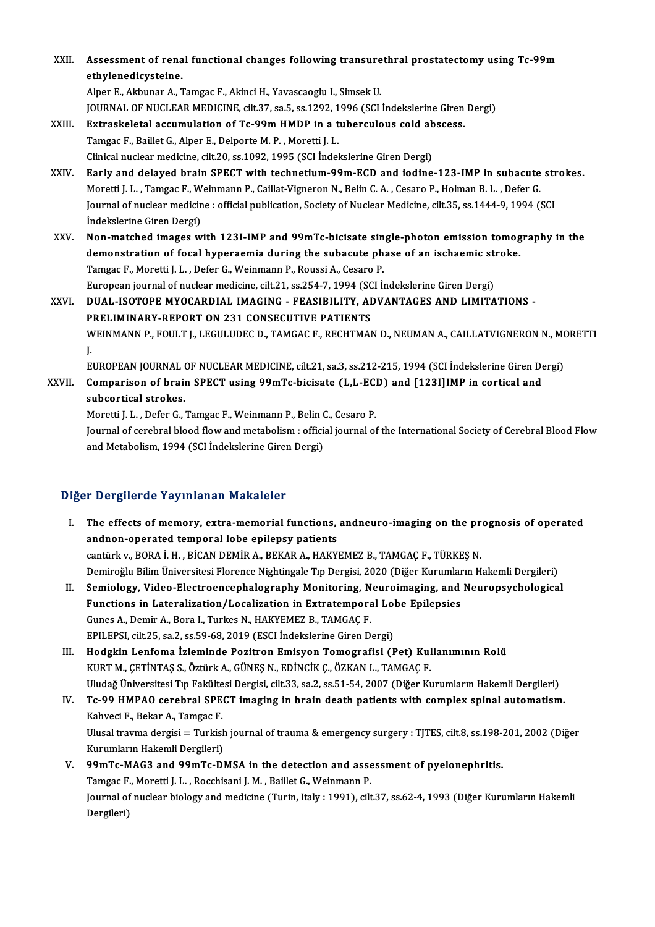XXI . Assessment of renal functional changes fol owing transurethral prostatectomy using Tc-99m Assessment of rena<br>ethylenedicysteine.<br>Alper E. Althuner A. 7 Assessment of renal functional changes following transure<br>ethylenedicysteine.<br>Alper E., Akbunar A., Tamgac F., Akinci H., Yavascaoglu I., Simsek U.<br>JOUPMAL OF NUCLEAR MEDICINE silt 27, 28 5, 28,1202, 1906 (SCL ethylenedicysteine.<br>Alper E., Akbunar A., Tamgac F., Akinci H., Yavascaoglu I., Simsek U.<br>JOURNAL OF NUCLEAR MEDICINE, cilt.37, sa.5, ss.1292, 1996 (SCI İndekslerine Giren Dergi)<br>Eutraskalatal assumulation of Ts.99m HMDB i Alper E., Akbunar A., Tamgac F., Akinci H., Yavascaoglu I., Simsek U.<br>JOURNAL OF NUCLEAR MEDICINE, cilt.37, sa.5, ss.1292, 1996 (SCI İndekslerine Giren<br>XXIII. Extraskeletal accumulation of Tc-99m HMDP in a tuberculous cold JOURNAL OF NUCLEAR MEDICINE, cilt.37, sa.5, ss.1292, 1<br>Extraskeletal accumulation of Tc-99m HMDP in a t<br>Tamgac F., Baillet G., Alper E., Delporte M. P. , Moretti J. L.<br>Clinical nuclear modicine, cilt 20, ss.1092, 1995 (SCL Extraskeletal accumulation of Tc-99m HMDP in a tuberculous cold ab<br>Tamgac F., Baillet G., Alper E., Delporte M. P. , Moretti J. L.<br>Clinical nuclear medicine, cilt.20, ss.1092, 1995 (SCI İndekslerine Giren Dergi)<br>Farly and Tamgac F., Baillet G., Alper E., Delporte M. P. , Moretti J. L.<br>Clinical nuclear medicine, cilt.20, ss.1092, 1995 (SCI İndekslerine Giren Dergi)<br>XXIV. Early and delayed brain SPECT with technetium-99m-ECD and iodine-12 Moretti J. L., Tamgac F., Weinmann P., Caillat-Vigneron N., Belin C. A., Cesaro P., Holman B. L., Defer G. Early and delayed brain SPECT with technetium-99m-ECD and iodine-123-IMP in subacute str<br>Moretti J. L. , Tamgac F., Weinmann P., Caillat-Vigneron N., Belin C. A. , Cesaro P., Holman B. L. , Defer G.<br>Journal of nuclear medi Moretti J. L. , Tamgac F., W<br>Journal of nuclear medicin<br>İndekslerine Giren Dergi)<br>Non-matabad images ur Journal of nuclear medicine : official publication, Society of Nuclear Medicine, cilt.35, ss.1444-9, 1994 (SCI<br>Indekslerine Giren Dergi)<br>XXV. Non-matched images with 123I-IMP and 99mTc-bicisate single-photon emission tomog Indekslerine Giren Dergi)<br>Non-matched images with 123I-IMP and 99mTc-bicisate single-photon emission tomog<br>demonstration of focal hyperaemia during the subacute phase of an ischaemic stroke.<br>Tamges E. Maretti L.L. Defer G. Non-matched images with 123I-IMP and 99mTc-bicisate single-photon emission tomography in the<br>demonstration of focal hyperaemia during the subacute phase of an ischaemic stroke.<br>Tamgac F., Moretti J. L., Defer G., Weinmann demonstration of focal hyperaemia during the subacute phase of an ischaemic st:<br>Tamgac F., Moretti J. L. , Defer G., Weinmann P., Roussi A., Cesaro P.<br>European journal of nuclear medicine, cilt.21, ss.254-7, 1994 (SCI İnde Tamgac F., Moretti J. L. , Defer G., Weinmann P., Roussi A., Cesaro P.<br>European journal of nuclear medicine, cilt.21, ss.254-7, 1994 (SCI İndekslerine Giren Dergi)<br>XXVI. DUAL-ISOTOPE MYOCARDIAL IMAGING - FEASIBILITY, ADVAN European journal of nuclear medicine, cilt.21, ss.254-7, 1994 (SC<br>DUAL-ISOTOPE MYOCARDIAL IMAGING - FEASIBILITY, AI<br>PRELIMINARY-REPORT ON 231 CONSECUTIVE PATIENTS<br>WEINMANN B. FOULTJ J ECULUDEC D. TAMCAC E. BECUTMA) PRELIMINARY-REPORT ON 231 CONSECUTIVE PATIENTS<br>WEINMANN P., FOULT J., LEGULUDEC D., TAMGAC F., RECHTMAN D., NEUMAN A., CAILLATVIGNERON N., MORETTI<br>J. P<br>V.J<br>E. WEINMANN P., FOULT J., LEGULUDEC D., TAMGAC F., RECHTMAN D., NEUMAN A., CAILLATVIGNERON N., MO<br>J.<br>EUROPEAN JOURNAL OF NUCLEAR MEDICINE, cilt.21, sa.3, ss.212-215, 1994 (SCI İndekslerine Giren Dergi)<br>Comparison of brain SBE XXVII. Comparison of brain SPECT using 99mTc-bicisate (L,L-ECD) and [123I]IMP in cortical and subcortical strokes. EUROPEAN JOURNAL<br>Comparison of brain<br>subcortical strokes.<br>Moratti L. Defer C. Comparison of brain SPECT using 99mTc-bicisate (L,L-EC)<br>subcortical strokes.<br>Moretti J. L. , Defer G., Tamgac F., Weinmann P., Belin C., Cesaro P.<br>Journal of cerebral blood flow and metabolism : official journal of

Journal of cerebral blood flow and metabolism: official journal of the International Society of Cerebral Blood Flow<br>and Metabolism, 1994 (SCI İndekslerine Giren Dergi) Moretti J. L. , Defer G., Tamgac F., Weinmann P., Belin (<br>Journal of cerebral blood flow and metabolism : offici:<br>and Metabolism, 1994 (SCI İndekslerine Giren Dergi)

### Diğer Dergilerde Yayınlanan Makaleler

- Iger Dergilerde Yayınlanan Makaleler<br>I. The effects of memory, extra-memorial functions, andneuro-imaging on the prognosis of operated<br>Andnen energied temporal lebe enilensy nationts The effects of memory, extra-memorial functions,<br>andnon-operated temporal lobe epilepsy patients<br>continty ROBA LH, BICAN DEMIR A, BEKAR A, HAKY The effects of memory, extra-memorial functions, andneuro-imaging on the pr<br>andnon-operated temporal lobe epilepsy patients<br>cantürk v., BORA İ. H. , BİCAN DEMİR A., BEKAR A., HAKYEMEZ B., TAMGAÇ F., TÜRKEŞ N.<br>Demineğlu Bil andnon-operated temporal lobe epilepsy patients<br>cantürk v., BORA İ. H. , BİCAN DEMİR A., BEKAR A., HAKYEMEZ B., TAMGAÇ F., TÜRKEŞ N.<br>Demiroğlu Bilim Üniversitesi Florence Nightingale Tıp Dergisi, 2020 (Diğer Kurumların Hak
- II. Semiology, Video-Electroencephalography Monitoring, Neuroimaging, and Neuropsychological Demiroğlu Bilim Üniversitesi Florence Nightingale Tıp Dergisi, 2020 (Diğer Kurumlar<br>Semiology, Video-Electroencephalography Monitoring, Neuroimaging, and<br>Functions in Lateralization/Localization in Extratemporal Lobe Epile Semiology, Video-Electroencephalography Monitoring, N<br>Functions in Lateralization/Localization in Extratempora<br>Gunes A., Demir A., Bora I., Turkes N., HAKYEMEZ B., TAMGAÇ F.<br>FPU EPSL citt 25, ca 2, cs 59, 69, 2019 (ESCL In Functions in Lateralization/Localization in Extratemporal Lol<br>Gunes A., Demir A., Bora I., Turkes N., HAKYEMEZ B., TAMGAÇ F.<br>EPILEPSI, cilt.25, sa.2, ss.59-68, 2019 (ESCI İndekslerine Giren Dergi)<br>Hodskin Lanfoma İslamində Gunes A., Demir A., Bora I., Turkes N., HAKYEMEZ B., TAMGAÇ F.<br>EPILEPSI, cilt.25, sa.2, ss.59-68, 2019 (ESCI İndekslerine Giren Dergi)<br>III. Hodgkin Lenfoma İzleminde Pozitron Emisyon Tomografisi (Pet) Kullanımının Rolü
- KURTM.,ÇETİNTAŞ S.,ÖztürkA.,GÜNEŞN.,EDİNCİKÇ.,ÖZKANL.,TAMGAÇF. Uludağ Üniversitesi Tıp Fakültesi Dergisi, cilt.33, sa.2, ss.51-54, 2007 (Diğer Kurumların Hakemli Dergileri) KURT M., ÇETİNTAŞ S., Öztürk A., GÜNEŞ N., EDİNCİK Ç., ÖZKAN L., TAMGAÇ F.<br>Uludağ Üniversitesi Tıp Fakültesi Dergisi, cilt.33, sa.2, ss.51-54, 2007 (Diğer Kurumların Hakemli Dergileri)<br>IV. Tc-99 HMPAO cerebral SPECT im
- Uludağ Üniversitesi Tıp Fakülte<br>Tc-99 HMPAO cerebral SPE<br>Kahveci F., Bekar A., Tamgac F.<br>Ulusel trauma dergisi Turkisl Tc-99 HMPAO cerebral SPECT imaging in brain death patients with complex spinal automatism.<br>Kahveci F., Bekar A., Tamgac F.<br>Ulusal travma dergisi = Turkish journal of trauma & emergency surgery : TJTES, cilt.8, ss.198-201, Kahveci F., Bekar A., Tamgac F.<br>Ulusal travma dergisi = Turkish<br>Kurumların Hakemli Dergileri)<br>99mTe MAC2 and 99mTe Dl Ulusal travma dergisi = Turkish journal of trauma & emergency surgery : TJTES, cilt.8, ss.198-<br>Kurumların Hakemli Dergileri)<br>V. 99mTc-MAG3 and 99mTc-DMSA in the detection and assessment of pyelonephritis.<br>Tamgas E. Maretti
- Kurumların Hakemli Dergileri)<br>99mTc-MAG3 and 99mTc-DMSA in the detection and assessment of pyelonephritis. Journal of nuclear biology and medicine (Turin, Italy : 1991), cilt.37, ss.62-4, 1993 (Diğer Kurumların Hakemli<br>Dergileri) Tamgac F., Moretti J. L., Rocchisani J. M., Baillet G., Weinmann P.